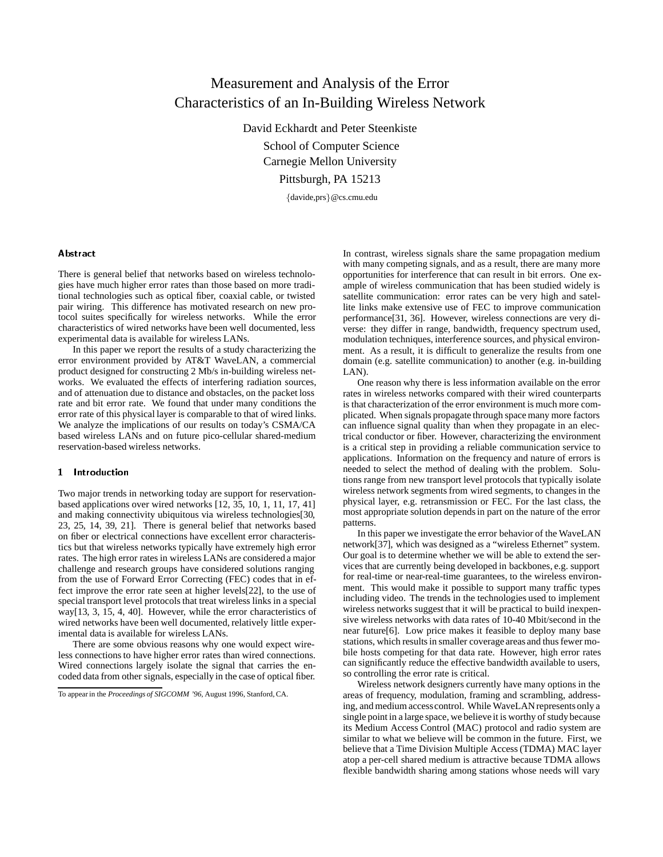# Measurement and Analysis of the Error Characteristics of an In-Building Wireless Network

David Eckhardt and Peter Steenkiste School of Computer Science Carnegie Mellon University Pittsburgh, PA 15213 {davide,prs}@cs.cmu.edu

### Abstract

There is general belief that networks based on wireless technologies have much higher error rates than those based on more traditional technologies such as optical fiber, coaxial cable, or twisted pair wiring. This difference has motivated research on new protocol suites specifically for wireless networks. While the error characteristics of wired networks have been well documented, less experimental data is available for wireless LANs.

In this paper we report the results of a study characterizing the error environment provided by AT&T WaveLAN, a commercial product designed for constructing 2 Mb/s in-building wireless networks. We evaluated the effects of interfering radiation sources, and of attenuation due to distance and obstacles, on the packet loss rate and bit error rate. We found that under many conditions the error rate of this physical layer is comparable to that of wired links. We analyze the implications of our results on today's CSMA/CA based wireless LANs and on future pico-cellular shared-medium reservation-based wireless networks.

## 1 Introduction

Two major trends in networking today are support for reservationbased applications over wired networks [12, 35, 10, 1, 11, 17, 41] and making connectivity ubiquitous via wireless technologies[30, 23, 25, 14, 39, 21]. There is general belief that networks based on fiber or electrical connections have excellent error characteristics but that wireless networks typically have extremely high error rates. The high error rates in wireless LANs are considered a major challenge and research groups have considered solutions ranging from the use of Forward Error Correcting (FEC) codes that in effect improve the error rate seen at higher levels[22], to the use of special transport level protocols that treat wireless links in a special way[13, 3, 15, 4, 40]. However, while the error characteristics of wired networks have been well documented, relatively little experimental data is available for wireless LANs.

There are some obvious reasons why one would expect wireless connections to have higher error rates than wired connections. Wired connections largely isolate the signal that carries the encoded data from other signals, especially in the case of optical fiber.

In contrast, wireless signals share the same propagation medium with many competing signals, and as a result, there are many more opportunities for interference that can result in bit errors. One example of wireless communication that has been studied widely is satellite communication: error rates can be very high and satellite links make extensive use of FEC to improve communication performance[31, 36]. However, wireless connections are very diverse: they differ in range, bandwidth, frequency spectrum used, modulation techniques, interference sources, and physical environment. As a result, it is difficult to generalize the results from one domain (e.g. satellite communication) to another (e.g. in-building LAN).

One reason why there is less information available on the error rates in wireless networks compared with their wired counterparts is that characterization of the error environment is much more complicated. When signals propagate through space many more factors can influence signal quality than when they propagate in an electrical conductor or fiber. However, characterizing the environment is a critical step in providing a reliable communication service to applications. Information on the frequency and nature of errors is needed to select the method of dealing with the problem. Solutions range from new transport level protocols that typically isolate wireless network segments from wired segments, to changes in the physical layer, e.g. retransmission or FEC. For the last class, the most appropriate solution depends in part on the nature of the error patterns.

In this paper we investigate the error behavior of the WaveLAN network[37], which was designed as a "wireless Ethernet" system. Our goal is to determine whether we will be able to extend the services that are currently being developed in backbones, e.g. support for real-time or near-real-time guarantees, to the wireless environment. This would make it possible to support many traffic types including video. The trends in the technologies used to implement wireless networks suggest that it will be practical to build inexpensive wireless networks with data rates of 10-40 Mbit/second in the near future[6]. Low price makes it feasible to deploy many base stations, which results in smaller coverage areas and thus fewer mobile hosts competing for that data rate. However, high error rates can significantly reduce the effective bandwidth available to users, so controlling the error rate is critical.

Wireless network designers currently have many options in the areas of frequency, modulation, framing and scrambling, addressing, and medium accesscontrol. While WaveLAN represents only a single point in a large space, we believe it is worthy of study because its Medium Access Control (MAC) protocol and radio system are similar to what we believe will be common in the future. First, we believe that a Time Division Multiple Access (TDMA) MAC layer atop a per-cell shared medium is attractive because TDMA allows flexible bandwidth sharing among stations whose needs will vary

To appear in the *Proceedings of SIGCOMM '96*, August 1996, Stanford, CA.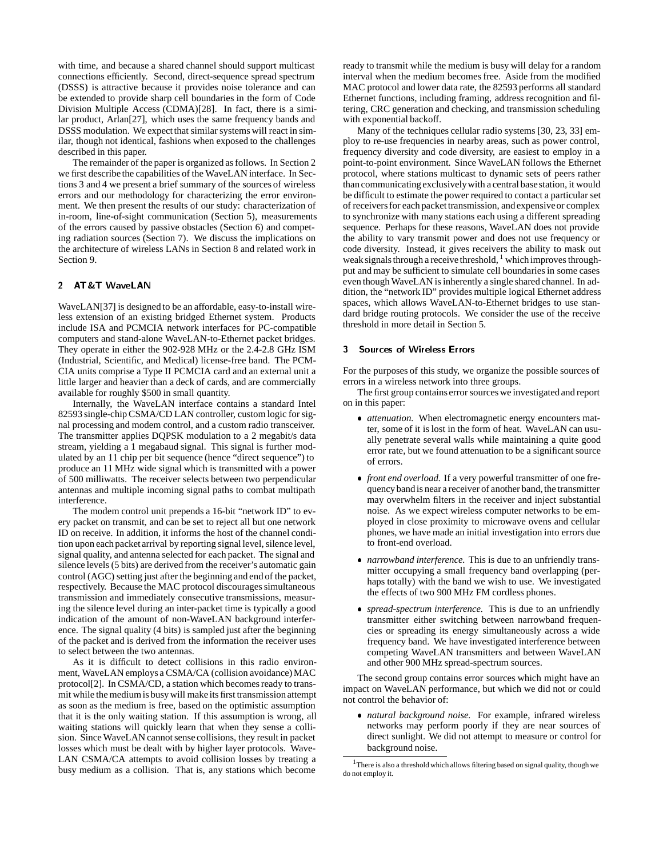with time, and because a shared channel should support multicast connections efficiently. Second, direct-sequence spread spectrum (DSSS) is attractive because it provides noise tolerance and can be extended to provide sharp cell boundaries in the form of Code Division Multiple Access (CDMA)[28]. In fact, there is a similar product, Arlan[27], which uses the same frequency bands and DSSS modulation. We expect that similar systems will react in similar, though not identical, fashions when exposed to the challenges described in this paper.

The remainder of the paper is organized as follows. In Section 2 we first describe the capabilities of the WaveLAN interface. In Sections 3 and 4 we present a brief summary of the sources of wireless errors and our methodology for characterizing the error environment. We then present the results of our study: characterization of in-room, line-of-sight communication (Section 5), measurements of the errors caused by passive obstacles (Section 6) and competing radiation sources (Section 7). We discuss the implications on the architecture of wireless LANs in Section 8 and related work in Section 9.

### **AT&T WaveLAN**  $\overline{2}$

WaveLAN[37] is designed to be an affordable, easy-to-install wireless extension of an existing bridged Ethernet system. Products include ISA and PCMCIA network interfaces for PC-compatible computers and stand-alone WaveLAN-to-Ethernet packet bridges. They operate in either the 902-928 MHz or the 2.4-2.8 GHz ISM (Industrial, Scientific, and Medical) license-free band. The PCM-CIA units comprise a Type II PCMCIA card and an external unit a little larger and heavier than a deck of cards, and are commercially available for roughly \$500 in small quantity.

Internally, the WaveLAN interface contains a standard Intel 82593 single-chip CSMA/CD LAN controller, custom logic for signal processing and modem control, and a custom radio transceiver. The transmitter applies DQPSK modulation to a 2 megabit/s data stream, yielding a 1 megabaud signal. This signal is further modulated by an 11 chip per bit sequence (hence "direct sequence") to produce an 11 MHz wide signal which is transmitted with a power of 500 milliwatts. The receiver selects between two perpendicular antennas and multiple incoming signal paths to combat multipath interference.

The modem control unit prepends a 16-bit "network ID" to every packet on transmit, and can be set to reject all but one network ID on receive. In addition, it informs the host of the channel condition upon each packet arrival by reporting signal level, silence level, signal quality, and antenna selected for each packet. The signal and silence levels (5 bits) are derived from the receiver's automatic gain control (AGC) setting just after the beginning and end of the packet, respectively. Because the MAC protocol discourages simultaneous transmission and immediately consecutive transmissions, measuring the silence level during an inter-packet time is typically a good indication of the amount of non-WaveLAN background interference. The signal quality (4 bits) is sampled just after the beginning of the packet and is derived from the information the receiver uses to select between the two antennas.

As it is difficult to detect collisions in this radio environment, WaveLAN employs a CSMA/CA (collision avoidance) MAC protocol[2]. In CSMA/CD, a station which becomes ready to transmit while the medium is busy will make its first transmission attempt as soon as the medium is free, based on the optimistic assumption that it is the only waiting station. If this assumption is wrong, all waiting stations will quickly learn that when they sense a collision. Since WaveLAN cannot sense collisions, they result in packet losses which must be dealt with by higher layer protocols. Wave-LAN CSMA/CA attempts to avoid collision losses by treating a busy medium as a collision. That is, any stations which become

ready to transmit while the medium is busy will delay for a random interval when the medium becomes free. Aside from the modified MAC protocol and lower data rate, the 82593 performs all standard Ethernet functions, including framing, address recognition and filtering, CRC generation and checking, and transmission scheduling with exponential backoff.

Many of the techniques cellular radio systems [30, 23, 33] employ to re-use frequencies in nearby areas, such as power control, frequency diversity and code diversity, are easiest to employ in a point-to-point environment. Since WaveLAN follows the Ethernet protocol, where stations multicast to dynamic sets of peers rather than communicating exclusivelywith a central basestation, it would be difficult to estimate the power required to contact a particular set of receivers for each packet transmission, and expensiveor complex to synchronize with many stations each using a different spreading sequence. Perhaps for these reasons, WaveLAN does not provide the ability to vary transmit power and does not use frequency or code diversity. Instead, it gives receivers the ability to mask out weak signals through a receive threshold,  $\frac{1}{1}$  which improves throughput and may be sufficient to simulate cell boundaries in some cases even though WaveLAN is inherently a single shared channel. In addition, the "network ID" provides multiple logical Ethernet address spaces, which allows WaveLAN-to-Ethernet bridges to use standard bridge routing protocols. We consider the use of the receive threshold in more detail in Section 5.

## 3 Sources of Wireless Errors

For the purposes of this study, we organize the possible sources of errors in a wireless network into three groups.

The first group contains error sources we investigated and report on in this paper:

- *attenuation.* When electromagnetic energy encounters matter, some of it is lost in the form of heat. WaveLAN can usually penetrate several walls while maintaining a quite good error rate, but we found attenuation to be a significant source of errors.
- *front end overload.* If a very powerful transmitter of one frequency band is near a receiver of another band, the transmitter may overwhelm filters in the receiver and inject substantial noise. As we expect wireless computer networks to be employed in close proximity to microwave ovens and cellular phones, we have made an initial investigation into errors due to front-end overload.
- *narrowband interference.* This is due to an unfriendly transmitter occupying a small frequency band overlapping (perhaps totally) with the band we wish to use. We investigated the effects of two 900 MHz FM cordless phones.
- *spread-spectrum interference.* This is due to an unfriendly transmitter either switching between narrowband frequencies or spreading its energy simultaneously across a wide frequency band. We have investigated interference between competing WaveLAN transmitters and between WaveLAN and other 900 MHz spread-spectrum sources.

The second group contains error sources which might have an impact on WaveLAN performance, but which we did not or could not control the behavior of:

 *natural background noise.* For example, infrared wireless networks may perform poorly if they are near sources of direct sunlight. We did not attempt to measure or control for background noise.

<sup>&</sup>lt;sup>1</sup>There is also a threshold which allows filtering based on signal quality, though we do not employ it.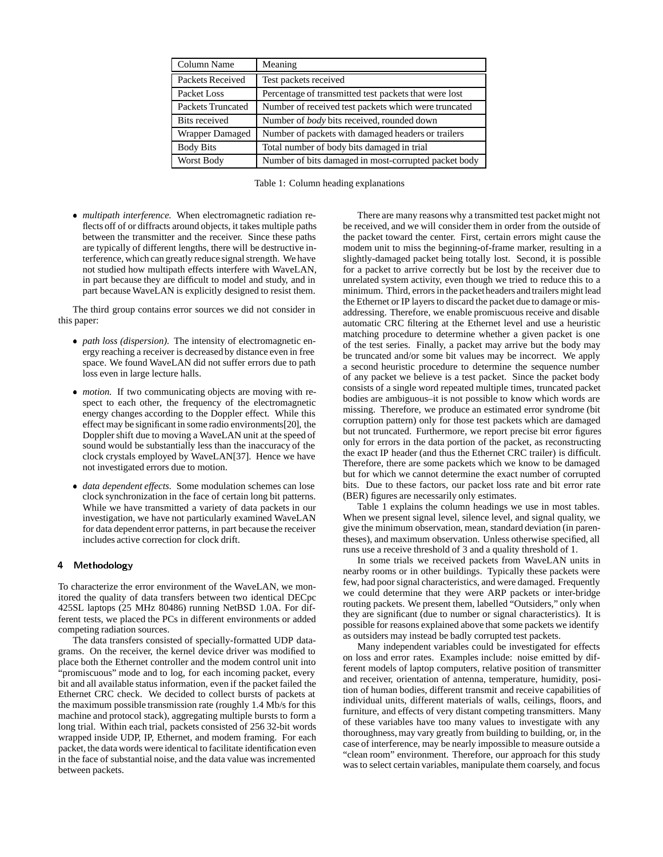| Column Name            | Meaning                                               |
|------------------------|-------------------------------------------------------|
| Packets Received       | Test packets received                                 |
| Packet Loss            | Percentage of transmitted test packets that were lost |
| Packets Truncated      | Number of received test packets which were truncated  |
| <b>Bits received</b>   | Number of body bits received, rounded down            |
| <b>Wrapper Damaged</b> | Number of packets with damaged headers or trailers    |
| <b>Body Bits</b>       | Total number of body bits damaged in trial            |
| Worst Body             | Number of bits damaged in most-corrupted packet body  |

Table 1: Column heading explanations

 *multipath interference.* When electromagnetic radiation reflects off of or diffracts around objects, it takes multiple paths between the transmitter and the receiver. Since these paths are typically of different lengths, there will be destructive interference, which can greatly reduce signal strength. We have not studied how multipath effects interfere with WaveLAN, in part because they are difficult to model and study, and in part because WaveLAN is explicitly designed to resist them.

The third group contains error sources we did not consider in this paper:

- *path loss (dispersion)*. The intensity of electromagnetic energy reaching a receiver is decreased by distance even in free space. We found WaveLAN did not suffer errors due to path loss even in large lecture halls.
- *motion.* If two communicating objects are moving with respect to each other, the frequency of the electromagnetic energy changes according to the Doppler effect. While this effect may be significant in some radio environments[20], the Doppler shift due to moving a WaveLAN unit at the speed of sound would be substantially less than the inaccuracy of the clock crystals employed by WaveLAN[37]. Hence we have not investigated errors due to motion.
- *data dependent effects.* Some modulation schemes can lose clock synchronization in the face of certain long bit patterns. While we have transmitted a variety of data packets in our investigation, we have not particularly examined WaveLAN for data dependent error patterns, in part because the receiver includes active correction for clock drift.

### 4 Methodology

To characterize the error environment of the WaveLAN, we monitored the quality of data transfers between two identical DECpc 425SL laptops (25 MHz 80486) running NetBSD 1.0A. For different tests, we placed the PCs in different environments or added competing radiation sources.

The data transfers consisted of specially-formatted UDP datagrams. On the receiver, the kernel device driver was modified to place both the Ethernet controller and the modem control unit into "promiscuous" mode and to log, for each incoming packet, every bit and all available status information, even if the packet failed the Ethernet CRC check. We decided to collect bursts of packets at the maximum possible transmission rate (roughly 1.4 Mb/s for this machine and protocol stack), aggregating multiple bursts to form a long trial. Within each trial, packets consisted of 256 32-bit words wrapped inside UDP, IP, Ethernet, and modem framing. For each packet, the data words were identical to facilitate identification even in the face of substantial noise, and the data value was incremented between packets.

There are many reasons why a transmitted test packet might not be received, and we will consider them in order from the outside of the packet toward the center. First, certain errors might cause the modem unit to miss the beginning-of-frame marker, resulting in a slightly-damaged packet being totally lost. Second, it is possible for a packet to arrive correctly but be lost by the receiver due to unrelated system activity, even though we tried to reduce this to a minimum. Third, errors in the packetheaders and trailers might lead the Ethernet or IP layers to discard the packet due to damage or misaddressing. Therefore, we enable promiscuous receive and disable automatic CRC filtering at the Ethernet level and use a heuristic matching procedure to determine whether a given packet is one of the test series. Finally, a packet may arrive but the body may be truncated and/or some bit values may be incorrect. We apply a second heuristic procedure to determine the sequence number of any packet we believe is a test packet. Since the packet body consists of a single word repeated multiple times, truncated packet bodies are ambiguous–it is not possible to know which words are missing. Therefore, we produce an estimated error syndrome (bit corruption pattern) only for those test packets which are damaged but not truncated. Furthermore, we report precise bit error figures only for errors in the data portion of the packet, as reconstructing the exact IP header (and thus the Ethernet CRC trailer) is difficult. Therefore, there are some packets which we know to be damaged but for which we cannot determine the exact number of corrupted bits. Due to these factors, our packet loss rate and bit error rate (BER) figures are necessarily only estimates.

Table 1 explains the column headings we use in most tables. When we present signal level, silence level, and signal quality, we give the minimum observation, mean, standard deviation (in parentheses), and maximum observation. Unless otherwise specified, all runs use a receive threshold of 3 and a quality threshold of 1.

In some trials we received packets from WaveLAN units in nearby rooms or in other buildings. Typically these packets were few, had poor signal characteristics, and were damaged. Frequently we could determine that they were ARP packets or inter-bridge routing packets. We present them, labelled "Outsiders," only when they are significant (due to number or signal characteristics). It is possible for reasons explained above that some packets we identify as outsiders may instead be badly corrupted test packets.

Many independent variables could be investigated for effects on loss and error rates. Examples include: noise emitted by different models of laptop computers, relative position of transmitter and receiver, orientation of antenna, temperature, humidity, position of human bodies, different transmit and receive capabilities of individual units, different materials of walls, ceilings, floors, and furniture, and effects of very distant competing transmitters. Many of these variables have too many values to investigate with any thoroughness, may vary greatly from building to building, or, in the case of interference, may be nearly impossible to measure outside a "clean room" environment. Therefore, our approach for this study was to select certain variables, manipulate them coarsely, and focus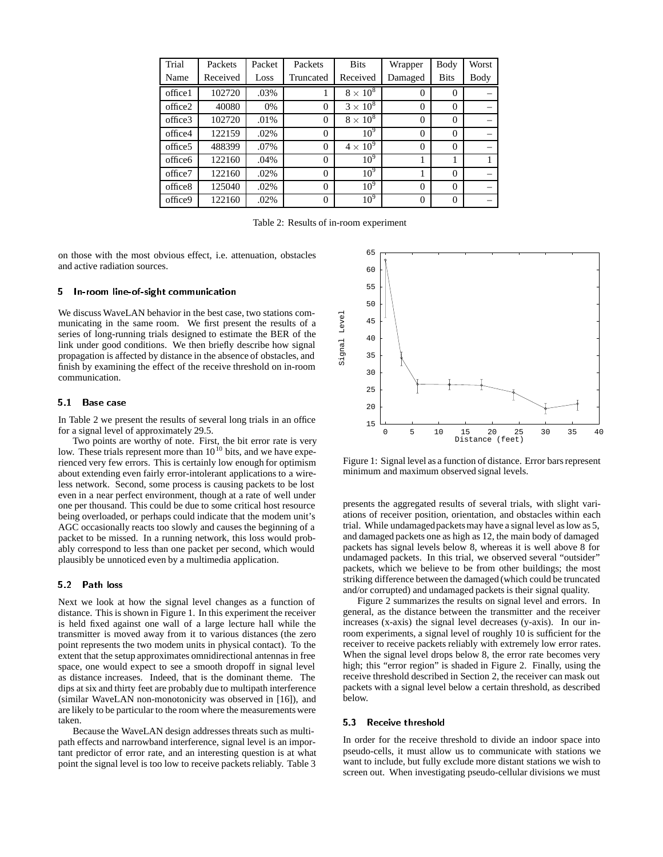| Trial   | Packets  | Packet | Packets   | <b>Bits</b>     | Wrapper        | <b>Body</b> | Worst |
|---------|----------|--------|-----------|-----------------|----------------|-------------|-------|
| Name    | Received | Loss   | Truncated | Received        | Damaged        | <b>Bits</b> | Body  |
| office1 | 102720   | .03%   |           | $8 \times 10^8$ | $\Omega$       | 0           |       |
| office2 | 40080    | 0%     | $\Omega$  | $3 \times 10^8$ | $\overline{0}$ | $\theta$    |       |
| office3 | 102720   | .01%   | $\Omega$  | $8 \times 10^8$ | $\theta$       | $\Omega$    |       |
| office4 | 122159   | .02%   | $\Omega$  | 10 <sup>9</sup> | $\theta$       | $\Omega$    |       |
| office5 | 488399   | .07%   | $\Omega$  | $4 \times 10^9$ | $\theta$       | $\Omega$    |       |
| office6 | 122160   | .04%   | $\Omega$  | 10 <sup>9</sup> | 1              |             |       |
| office7 | 122160   | .02%   | $\Omega$  | 10 <sup>9</sup> | 1              | $\Omega$    |       |
| office8 | 125040   | .02%   | $\Omega$  | 10 <sup>9</sup> | $\Omega$       | $\Omega$    |       |
| office9 | 122160   | .02%   | $\theta$  | 10 <sup>9</sup> | $\overline{0}$ | $\Omega$    |       |

Table 2: Results of in-room experiment

on those with the most obvious effect, i.e. attenuation, obstacles and active radiation sources.

## 5 In-room line-of-sight communication

We discuss WaveLAN behavior in the best case, two stations communicating in the same room. We first present the results of a series of long-running trials designed to estimate the BER of the link under good conditions. We then briefly describe how signal propagation is affected by distance in the absence of obstacles, and finish by examining the effect of the receive threshold on in-room communication.

### $5.1$

In Table 2 we present the results of several long trials in an office for a signal level of approximately 29.5.

Two points are worthy of note. First, the bit error rate is very low. These trials represent more than  $10^{10}$  bits, and we have experienced very few errors. This is certainly low enough for optimism about extending even fairly error-intolerant applications to a wireless network. Second, some process is causing packets to be lost even in a near perfect environment, though at a rate of well under one per thousand. This could be due to some critical host resource being overloaded, or perhaps could indicate that the modem unit's AGC occasionally reacts too slowly and causes the beginning of a packet to be missed. In a running network, this loss would probably correspond to less than one packet per second, which would plausibly be unnoticed even by a multimedia application.

Next we look at how the signal level changes as a function of distance. This is shown in Figure 1. In this experiment the receiver is held fixed against one wall of a large lecture hall while the transmitter is moved away from it to various distances (the zero point represents the two modem units in physical contact). To the extent that the setup approximates omnidirectional antennas in free space, one would expect to see a smooth dropoff in signal level as distance increases. Indeed, that is the dominant theme. The dips at six and thirty feet are probably due to multipath interference (similar WaveLAN non-monotonicity was observed in [16]), and are likely to be particular to the room where the measurements were taken.

Because the WaveLAN design addresses threats such as multipath effects and narrowband interference, signal level is an important predictor of error rate, and an interesting question is at what point the signal level is too low to receive packets reliably. Table 3



Figure 1: Signal level as a function of distance. Error bars represent minimum and maximum observed signal levels.

presents the aggregated results of several trials, with slight variations of receiver position, orientation, and obstacles within each trial. While undamagedpackets may have a signal level as low as 5, and damaged packets one as high as 12, the main body of damaged packets has signal levels below 8, whereas it is well above 8 for undamaged packets. In this trial, we observed several "outsider" packets, which we believe to be from other buildings; the most striking difference between the damaged (which could be truncated and/or corrupted) and undamaged packets is their signal quality.

Figure 2 summarizes the results on signal level and errors. In general, as the distance between the transmitter and the receiver increases (x-axis) the signal level decreases (y-axis). In our inroom experiments, a signal level of roughly 10 is sufficient for the receiver to receive packets reliably with extremely low error rates. When the signal level drops below 8, the error rate becomes very high; this "error region" is shaded in Figure 2. Finally, using the receive threshold described in Section 2, the receiver can mask out packets with a signal level below a certain threshold, as described below.

### 5.3 Receive threshold

In order for the receive threshold to divide an indoor space into pseudo-cells, it must allow us to communicate with stations we want to include, but fully exclude more distant stations we wish to screen out. When investigating pseudo-cellular divisions we must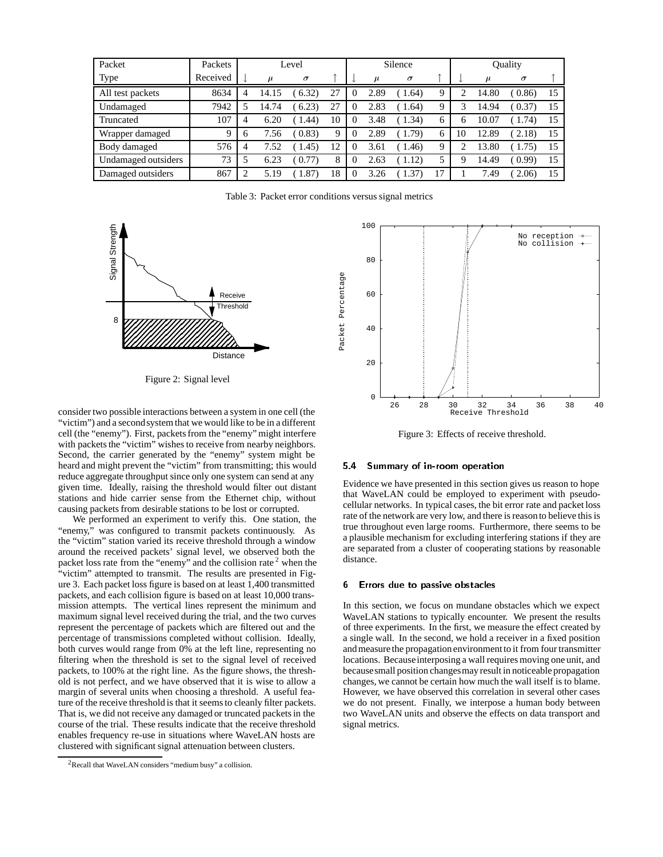| Packet              | Packets  |   |       | Level    |    |          |       | Silence  |    |    |       | Quality  |    |
|---------------------|----------|---|-------|----------|----|----------|-------|----------|----|----|-------|----------|----|
| <b>Type</b>         | Received |   | μ     | $\sigma$ |    |          | $\mu$ | $\sigma$ |    |    | μ     | $\sigma$ |    |
| All test packets    | 8634     |   | 14.15 | 6.32)    | 27 | $\theta$ | 2.89  | 1.64)    | 9  | ∍  | 14.80 | (0.86)   | 15 |
| Undamaged           | 7942     |   | 14.74 | 6.23     | 27 | $\theta$ | 2.83  | 1.64)    | 9  | 3  | 14.94 | (0.37)   | 15 |
| Truncated           | 107      |   | 6.20  | (1.44)   | 10 | $\Omega$ | 3.48  | 1.34)    | 6  | 6  | 10.07 | 1.74)    | 15 |
| Wrapper damaged     | 9        | 6 | 7.56  | (0.83)   | 9  | 0        | 2.89  | (1.79)   | 6  | 10 | 12.89 | 2.18)    | 15 |
| Body damaged        | 576      |   | 7.52  | (1.45)   | 12 | $\Omega$ | 3.61  | 1.46)    | 9  | 2  | 13.80 | 1.75)    | 15 |
| Undamaged outsiders | 73       |   | 6.23  | (0.77)   | 8  | 0        | 2.63  | 1.12)    | 5  | 9  | 14.49 | (0.99)   | 15 |
| Damaged outsiders   | 867      |   | 5.19  | .87)     | 18 | 0        | 3.26  | 1.37)    | 17 |    | 7.49  | 2.06     | 15 |

Table 3: Packet error conditions versus signal metrics

Packet Percentage



Figure 2: Signal level

consider two possible interactions between a system in one cell (the "victim") and a secondsystem that we would like to be in a different cell (the "enemy"). First, packets from the "enemy" might interfere with packets the "victim" wishes to receive from nearby neighbors. Second, the carrier generated by the "enemy" system might be heard and might prevent the "victim" from transmitting; this would reduce aggregate throughput since only one system can send at any given time. Ideally, raising the threshold would filter out distant stations and hide carrier sense from the Ethernet chip, without causing packets from desirable stations to be lost or corrupted.

We performed an experiment to verify this. One station, the "enemy," was configured to transmit packets continuously. As the "victim" station varied its receive threshold through a window around the received packets' signal level, we observed both the packet loss rate from the "enemy" and the collision rate  $2$  when the "victim" attempted to transmit. The results are presented in Figure 3. Each packet loss figure is based on at least 1,400 transmitted packets, and each collision figure is based on at least 10,000 transmission attempts. The vertical lines represent the minimum and maximum signal level received during the trial, and the two curves represent the percentage of packets which are filtered out and the percentage of transmissions completed without collision. Ideally, both curves would range from 0% at the left line, representing no filtering when the threshold is set to the signal level of received packets, to 100% at the right line. As the figure shows, the threshold is not perfect, and we have observed that it is wise to allow a margin of several units when choosing a threshold. A useful feature of the receive threshold is that it seems to cleanly filter packets. That is, we did not receive any damaged or truncated packets in the course of the trial. These results indicate that the receive threshold enables frequency re-use in situations where WaveLAN hosts are clustered with significant signal attenuation between clusters.



Figure 3: Effects of receive threshold.

### 5.4 Summary of in-room operation

Evidence we have presented in this section gives us reason to hope that WaveLAN could be employed to experiment with pseudocellular networks. In typical cases, the bit error rate and packet loss rate of the network are very low, and there is reason to believe this is true throughout even large rooms. Furthermore, there seems to be a plausible mechanism for excluding interfering stations if they are are separated from a cluster of cooperating stations by reasonable distance.

### Errors due to passive obstacles

In this section, we focus on mundane obstacles which we expect WaveLAN stations to typically encounter. We present the results of three experiments. In the first, we measure the effect created by a single wall. In the second, we hold a receiver in a fixed position and measure the propagation environment to it from four transmitter locations. Becauseinterposing a wall requires moving one unit, and becausesmall position changesmay result in noticeable propagation changes, we cannot be certain how much the wall itself is to blame. However, we have observed this correlation in several other cases we do not present. Finally, we interpose a human body between two WaveLAN units and observe the effects on data transport and signal metrics.

<sup>&</sup>lt;sup>2</sup>Recall that WaveLAN considers "medium busy" a collision.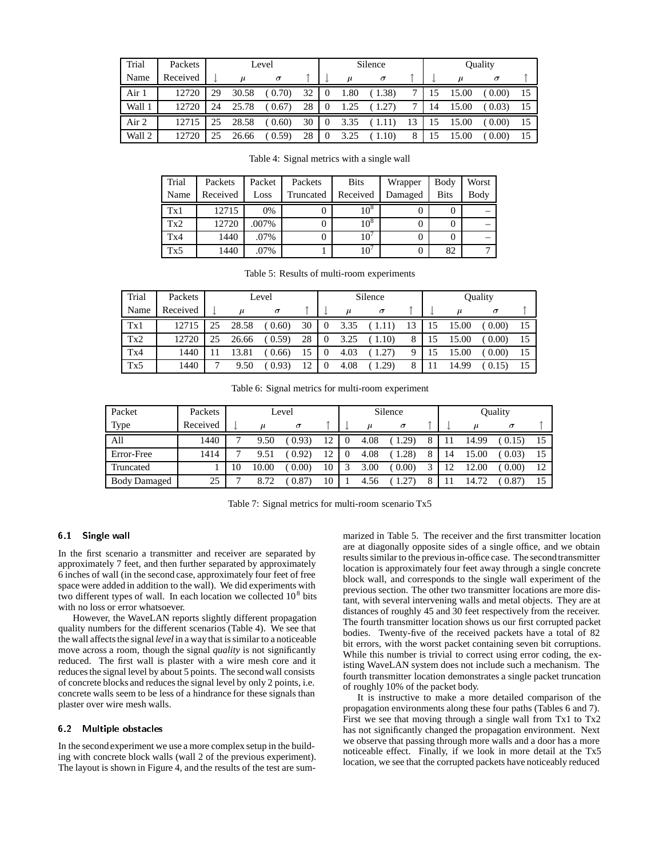| Trial  | Packets  |               |       | Level  |    |                | Silence |          | Quality |    |       |          |    |
|--------|----------|---------------|-------|--------|----|----------------|---------|----------|---------|----|-------|----------|----|
| Name   | Received | $\sigma$<br>u |       |        |    |                | $\mu$   | $\sigma$ |         |    | $\mu$ | $\sigma$ |    |
| Air 1  | 12720    | 29            | 30.58 | 0.70)  | 32 |                | 1.80    | 1.38     | 7       |    | 15.00 | 0.00)    | 15 |
| Wall 1 | 12720    | 24            | 25.78 | 0.67)  | 28 |                | 1.25    | 1.27     | 7       | 14 | 15.00 | (0.03)   | 15 |
| Air 2  | 12715    | 25            | 28.58 | 0.60   | 30 | $\overline{0}$ | 3.35    | (1.11)   | 13      |    | 15.00 | (0.00)   | 15 |
| Wall 2 |          |               | 26.66 | (0.59) | 28 |                | 3.25    | 1.10)    | 8       |    | 15.00 | 0.00)    | 15 |

Table 4: Signal metrics with a single wall

| Trial | Packets  | Packet | Packets   | <b>Bits</b>     | Wrapper | Body        | Worst |
|-------|----------|--------|-----------|-----------------|---------|-------------|-------|
| Name  | Received | Loss   | Truncated | Received        | Damaged | <b>Bits</b> | Body  |
| Tx1   | 12715    | 0%     |           | 10 <sup>8</sup> |         |             |       |
| Tx2   | 12720    | .007%  | 0         | $10^8\,$        | 0       |             |       |
| Tx4   | 1440     | .07%   | 0         | 10.             | 0       |             |       |
| Tx5   | 1440     | .07%   |           | $10^7$          | 0       | 82          |       |

Table 5: Results of multi-room experiments

| Trial            | Packets  |                   |       | Level  |    |          | Silence |               | Quality |    |       |          |    |
|------------------|----------|-------------------|-------|--------|----|----------|---------|---------------|---------|----|-------|----------|----|
| Name             | Received | $\sigma$<br>$\mu$ |       |        |    |          | μ       | σ             |         |    | u     | $\sigma$ |    |
| Tx1              | 12715    |                   | 28.58 | (0.60) | 30 | $\theta$ | 3.35    |               | 13      | 15 | 15.00 | 0.00     | 15 |
| Tx2              | 12720    |                   | 26.66 | (0.59) | 28 | $\theta$ | 3.25    | 1.10          | 8       | 15 | 15.00 | 0.00     | 15 |
| Tx4              | 1440     |                   |       | 0.66   | 15 | 0        | 4.03    |               | 9       |    | 15.00 | 0.00     | 15 |
| T <sub>x</sub> 5 | 1440     |                   | 9.50  | (0.93) | 12 | $\theta$ | 4.08    | $.29^{\circ}$ | 8       |    | 14.99 | 0.15     | 15 |

Table 6: Signal metrics for multi-room experiment

| Packet              | Packets  |    | Level |          |    |          |          | Silence  |   | Quality |       |          |    |  |
|---------------------|----------|----|-------|----------|----|----------|----------|----------|---|---------|-------|----------|----|--|
| Type                | Received |    | u     | $\sigma$ |    |          | $_{\mu}$ | $\sigma$ |   |         |       | $\sigma$ |    |  |
| All                 | 1440     |    | 9.50  | (0.93)   | 12 | 0        | 4.08     | (1.29)   |   |         | 14.99 | (0.15)   | 15 |  |
| Error-Free          | 1414     |    | 9.51  | (0.92)   | 12 | $\theta$ | 4.08     | .28)     | 8 | 14      | 15.00 | (0.03)   | 15 |  |
| Truncated           |          | 10 | 10.00 | 0.00     | 10 |          | 3.00     | 0.00)    |   | 12      | 12.00 | (0.00)   | 12 |  |
| <b>Body Damaged</b> | 25       |    | 8.72  | 0.87     | 10 |          | 4.56     |          |   |         | 14.72 | (0.87)   | 15 |  |

Table 7: Signal metrics for multi-room scenario Tx5

## 6.1 Single wall

In the first scenario a transmitter and receiver are separated by approximately 7 feet, and then further separated by approximately 6 inches of wall (in the second case, approximately four feet of free space were added in addition to the wall). We did experiments with two different types of wall. In each location we collected  $10<sup>8</sup>$  bits with no loss or error whatsoever.

However, the WaveLAN reports slightly different propagation quality numbers for the different scenarios (Table 4). We see that the wall affects the signal *level* in a way that is similar to a noticeable move across a room, though the signal *quality* is not significantly reduced. The first wall is plaster with a wire mesh core and it reduces the signal level by about 5 points. The second wall consists of concrete blocks and reduces the signal level by only 2 points, i.e. concrete walls seem to be less of a hindrance for these signals than plaster over wire mesh walls.

### - Multiple obstacles

In the second experiment we use a more complex setup in the building with concrete block walls (wall 2 of the previous experiment). The layout is shown in Figure 4, and the results of the test are summarized in Table 5. The receiver and the first transmitter location are at diagonally opposite sides of a single office, and we obtain results similar to the previous in-office case. The secondtransmitter location is approximately four feet away through a single concrete block wall, and corresponds to the single wall experiment of the previous section. The other two transmitter locations are more distant, with several intervening walls and metal objects. They are at distances of roughly 45 and 30 feet respectively from the receiver. The fourth transmitter location shows us our first corrupted packet bodies. Twenty-five of the received packets have a total of 82 bit errors, with the worst packet containing seven bit corruptions. While this number is trivial to correct using error coding, the existing WaveLAN system does not include such a mechanism. The fourth transmitter location demonstrates a single packet truncation of roughly 10% of the packet body.

It is instructive to make a more detailed comparison of the propagation environments along these four paths (Tables 6 and 7). First we see that moving through a single wall from Tx1 to Tx2 has not significantly changed the propagation environment. Next we observe that passing through more walls and a door has a more noticeable effect. Finally, if we look in more detail at the Tx5 location, we see that the corrupted packets have noticeably reduced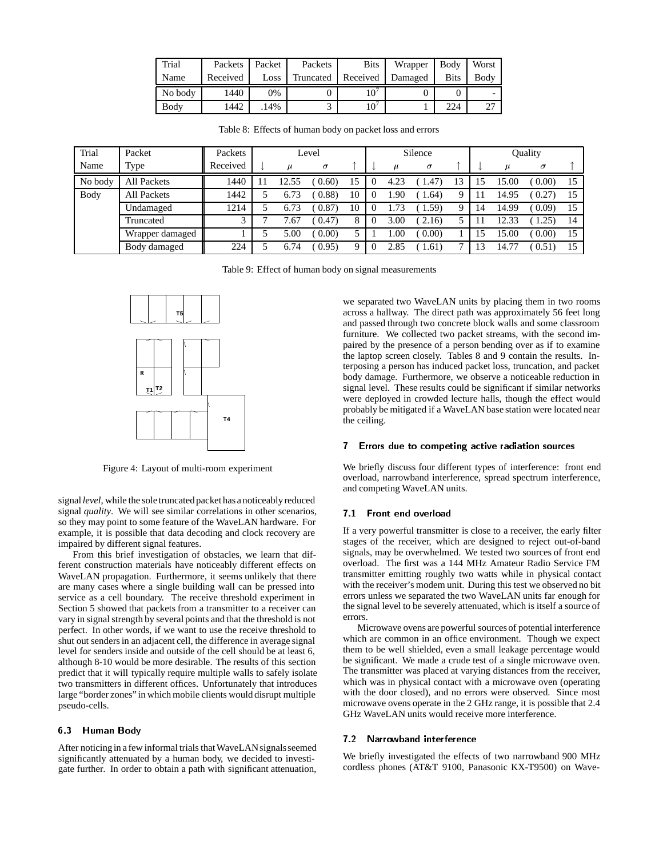| Trial   | Packets  | <b>Packet</b> | Packets   | <b>Bits</b> | Wrapper Body       |             | Worst |
|---------|----------|---------------|-----------|-------------|--------------------|-------------|-------|
| Name    | Received | Loss          | Truncated |             | Received   Damaged | <b>Bits</b> | Body  |
|         |          |               |           |             |                    |             |       |
| No body | 1440     | 0%            |           |             |                    |             |       |

| Trial       | Packet             | Packets  | Level |          |    |          |       | Silence  |   |                |       | Quality       |    |  |  |
|-------------|--------------------|----------|-------|----------|----|----------|-------|----------|---|----------------|-------|---------------|----|--|--|
| Name        | Type               | Received | u     | $\sigma$ |    |          | $\mu$ | $\sigma$ |   |                | $\mu$ | $\sigma$      |    |  |  |
| No body     | All Packets        | 1440     | 12.55 | 0.60)    | 15 | $\theta$ | 4.23  | .47      |   | 5              | 15.00 | (0.00)        | 15 |  |  |
| <b>Body</b> | <b>All Packets</b> | 1442     | 6.73  | (0.88)   | 10 |          | 1.90  | .64)     | Q |                | 14.95 | (0.27)        | 15 |  |  |
|             | Undamaged          | 1214     | 6.73  | (0.87)   | 10 |          |       | .59)     | Q | $\overline{4}$ | 14.99 | (0.09)        | 15 |  |  |
|             | Truncated          | 3        | 1.67  | (0.47)   | 8  |          | 3.00  | 2.16     |   |                | 12.33 | $.25^{\circ}$ | 14 |  |  |
|             | Wrapper damaged    |          | 5.00  | 0.00     |    |          | 1.00  | 0.00     |   | 15.            | 5.00  | (0.00)        | 15 |  |  |
|             | Body damaged       | 224      | 6.74  | 0.95)    | O  |          | 2.85  | 1.61)    | ⇁ | 3              | 14.77 | (0.51)        | 15 |  |  |

Table 8: Effects of human body on packet loss and errors

Table 9: Effect of human body on signal measurements



Figure 4: Layout of multi-room experiment

signal*level*, while the sole truncated packet has a noticeably reduced signal *quality*. We will see similar correlations in other scenarios, so they may point to some feature of the WaveLAN hardware. For example, it is possible that data decoding and clock recovery are impaired by different signal features.

From this brief investigation of obstacles, we learn that different construction materials have noticeably different effects on WaveLAN propagation. Furthermore, it seems unlikely that there are many cases where a single building wall can be pressed into service as a cell boundary. The receive threshold experiment in Section 5 showed that packets from a transmitter to a receiver can vary in signal strength by several points and that the threshold is not perfect. In other words, if we want to use the receive threshold to shut out senders in an adjacent cell, the difference in average signal level for senders inside and outside of the cell should be at least 6, although 8-10 would be more desirable. The results of this section predict that it will typically require multiple walls to safely isolate two transmitters in different offices. Unfortunately that introduces large "border zones" in which mobile clients would disrupt multiple pseudo-cells.

## 6.3 Human Body

After noticing in a few informal trials that WaveLAN signals seemed significantly attenuated by a human body, we decided to investigate further. In order to obtain a path with significant attenuation, we separated two WaveLAN units by placing them in two rooms across a hallway. The direct path was approximately 56 feet long and passed through two concrete block walls and some classroom furniture. We collected two packet streams, with the second impaired by the presence of a person bending over as if to examine the laptop screen closely. Tables 8 and 9 contain the results. Interposing a person has induced packet loss, truncation, and packet body damage. Furthermore, we observe a noticeable reduction in signal level. These results could be significant if similar networks were deployed in crowded lecture halls, though the effect would probably be mitigated if a WaveLAN base station were located near the ceiling.

### $\overline{7}$ Errors due to competing active radiation sources

We briefly discuss four different types of interference: front end overload, narrowband interference, spread spectrum interference, and competing WaveLAN units.

If a very powerful transmitter is close to a receiver, the early filter stages of the receiver, which are designed to reject out-of-band signals, may be overwhelmed. We tested two sources of front end overload. The first was a 144 MHz Amateur Radio Service FM transmitter emitting roughly two watts while in physical contact with the receiver's modem unit. During this test we observed no bit errors unless we separated the two WaveLAN units far enough for the signal level to be severely attenuated, which is itself a source of errors.

Microwave ovens are powerful sources of potential interference which are common in an office environment. Though we expect them to be well shielded, even a small leakage percentage would be significant. We made a crude test of a single microwave oven. The transmitter was placed at varying distances from the receiver, which was in physical contact with a microwave oven (operating with the door closed), and no errors were observed. Since most microwave ovens operate in the 2 GHz range, it is possible that 2.4 GHz WaveLAN units would receive more interference.

We briefly investigated the effects of two narrowband 900 MHz cordless phones (AT&T 9100, Panasonic KX-T9500) on Wave-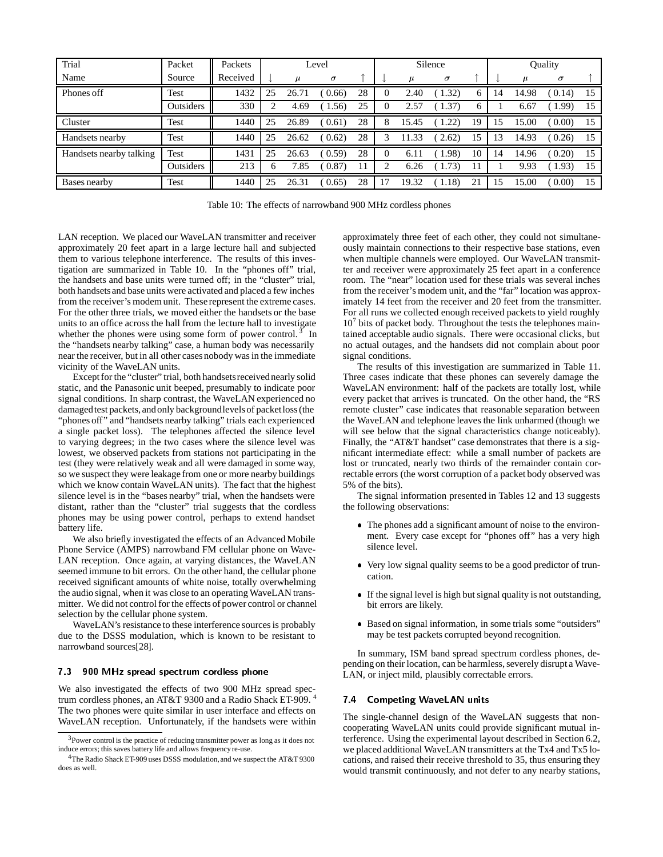| Trial                   | Packet      | Packets  |    |       | Level    |    |          |       | Silence  |    |    |       | Quality  |    |
|-------------------------|-------------|----------|----|-------|----------|----|----------|-------|----------|----|----|-------|----------|----|
| Name                    | Source      | Received |    | $\mu$ | $\sigma$ |    |          | $\mu$ | $\sigma$ |    |    | μ     | $\sigma$ |    |
| Phones off              | Test        | 1432     | 25 | 26.7  | 0.66)    | 28 | $\Omega$ | 2.40  | 1.32)    | 6  | 14 | 14.98 | (0.14)   | 15 |
|                         | Outsiders   | 330      |    | 4.69  | 1.56)    | 25 |          | 2.57  | .37)     | 6  |    | 6.67  | (1.99)   | 15 |
| Cluster                 | Test        | 1440     | 25 | 26.89 | 0.61)    | 28 | 8        | 15.45 | .22)     | 19 | 15 | 15.00 | (0.00)   | 15 |
| Handsets nearby         | <b>Test</b> | 1440     | 25 | 26.62 | (0.62)   | 28 | 3        | 11.33 | 2.62)    | 15 | 13 | 14.93 | (0.26)   | 15 |
| Handsets nearby talking | Test        | 1431     | 25 | 26.63 | (0.59)   | 28 | $\Omega$ | 6.11  | 1.98)    | 10 | 14 | 14.96 | (0.20)   | 15 |
|                         | Outsiders   | 213      | h. | 7.85  | (0.87)   |    |          | 6.26  | 1.73)    |    |    | 9.93  | (1.93)   | 15 |
| Bases nearby            | Test        | 1440     | 25 | 26.31 | (0.65)   | 28 | 17       | 19.32 | 1.18)    | 21 | 15 | 15.00 | (0.00)   | 15 |

Table 10: The effects of narrowband 900 MHz cordless phones

LAN reception. We placed our WaveLAN transmitter and receiver approximately 20 feet apart in a large lecture hall and subjected them to various telephone interference. The results of this investigation are summarized in Table 10. In the "phones off" trial, the handsets and base units were turned off; in the "cluster" trial, both handsets and base units were activated and placed a few inches from the receiver's modem unit. These represent the extreme cases. For the other three trials, we moved either the handsets or the base units to an office across the hall from the lecture hall to investigate whether the phones were using some form of power control.<sup>3</sup> In the "handsets nearby talking" case, a human body was necessarily near the receiver, but in all other cases nobody was in the immediate vicinity of the WaveLAN units.

Except for the "cluster" trial, both handsetsreceivednearly solid static, and the Panasonic unit beeped, presumably to indicate poor signal conditions. In sharp contrast, the WaveLAN experienced no damagedtest packets, andonly backgroundlevels of packetloss (the "phones off" and "handsets nearby talking" trials each experienced a single packet loss). The telephones affected the silence level to varying degrees; in the two cases where the silence level was lowest, we observed packets from stations not participating in the test (they were relatively weak and all were damaged in some way, so we suspect they were leakage from one or more nearby buildings which we know contain WaveLAN units). The fact that the highest silence level is in the "bases nearby" trial, when the handsets were distant, rather than the "cluster" trial suggests that the cordless phones may be using power control, perhaps to extend handset battery life.

We also briefly investigated the effects of an Advanced Mobile Phone Service (AMPS) narrowband FM cellular phone on Wave-LAN reception. Once again, at varying distances, the WaveLAN seemed immune to bit errors. On the other hand, the cellular phone received significant amounts of white noise, totally overwhelming the audio signal, when it was close to an operating WaveLAN transmitter. We did not control for the effects of power control or channel selection by the cellular phone system.

WaveLAN's resistance to these interference sources is probably due to the DSSS modulation, which is known to be resistant to narrowband sources[28].

### $73$ 900 MHz spread spectrum cordless phone

We also investigated the effects of two 900 MHz spread spectrum cordless phones, an AT&T 9300 and a Radio Shack ET-909. <sup>4</sup> The two phones were quite similar in user interface and effects on WaveLAN reception. Unfortunately, if the handsets were within

approximately three feet of each other, they could not simultaneously maintain connections to their respective base stations, even when multiple channels were employed. Our WaveLAN transmitter and receiver were approximately 25 feet apart in a conference room. The "near" location used for these trials was several inches from the receiver's modem unit, and the "far" location was approximately 14 feet from the receiver and 20 feet from the transmitter. For all runs we collected enough received packets to yield roughly  $10<sup>7</sup>$  bits of packet body. Throughout the tests the telephones maintained acceptable audio signals. There were occasional clicks, but no actual outages, and the handsets did not complain about poor signal conditions.

The results of this investigation are summarized in Table 11. Three cases indicate that these phones can severely damage the WaveLAN environment: half of the packets are totally lost, while every packet that arrives is truncated. On the other hand, the "RS remote cluster" case indicates that reasonable separation between the WaveLAN and telephone leaves the link unharmed (though we will see below that the signal characteristics change noticeably). Finally, the "AT&T handset" case demonstrates that there is a significant intermediate effect: while a small number of packets are lost or truncated, nearly two thirds of the remainder contain correctable errors (the worst corruption of a packet body observed was 5% of the bits).

The signal information presented in Tables 12 and 13 suggests the following observations:

- The phones add a significant amount of noise to the environment. Every case except for "phones off" has a very high silence level.
- Very low signal quality seems to be a good predictor of truncation.
- If the signal level is high but signal quality is not outstanding, bit errors are likely.
- Based on signal information, in some trials some "outsiders" may be test packets corrupted beyond recognition.

In summary, ISM band spread spectrum cordless phones, depending on their location, can be harmless, severely disrupt a Wave-LAN, or inject mild, plausibly correctable errors.

### Competing WaveLAN units

The single-channel design of the WaveLAN suggests that noncooperating WaveLAN units could provide significant mutual interference. Using the experimental layout described in Section 6.2, we placed additional WaveLAN transmitters at the Tx4 and Tx5 locations, and raised their receive threshold to 35, thus ensuring they would transmit continuously, and not defer to any nearby stations,

 $3$ Power control is the practice of reducing transmitter power as long as it does not induce errors; this saves battery life and allows frequency re-use.

 ${}^{4}$ The Radio Shack ET-909 uses DSSS modulation, and we suspect the AT&T 9300 does as well.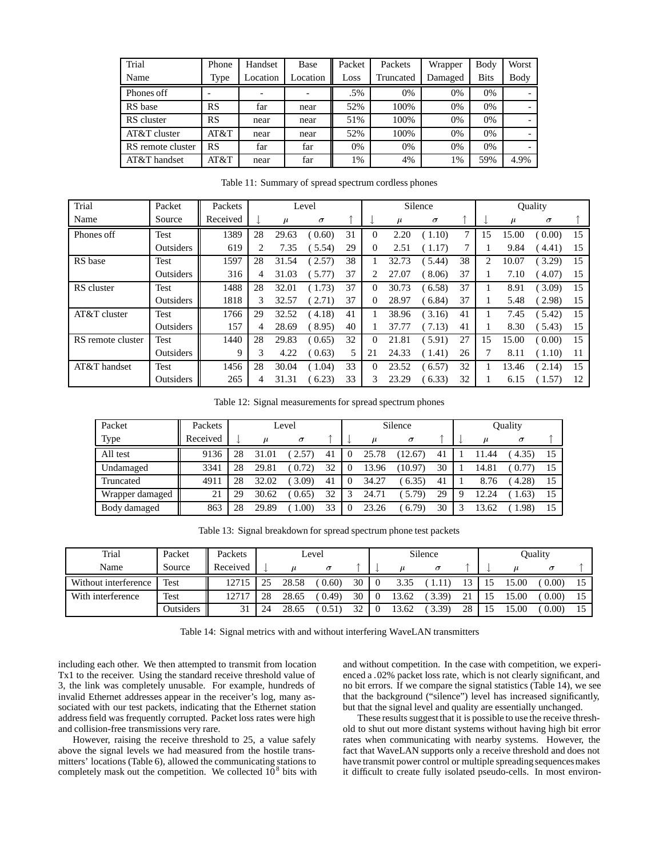| Trial             | Phone     | Handset  | Base     | Packet | Packets   | Wrapper | Body        | Worst |
|-------------------|-----------|----------|----------|--------|-----------|---------|-------------|-------|
| Name              | Type      | Location | Location | Loss   | Truncated | Damaged | <b>Bits</b> | Body  |
| Phones off        |           |          |          | .5%    | 0%        | $0\%$   | 0%          |       |
| RS base           | <b>RS</b> | far      | near     | 52%    | 100%      | 0%      | 0%          |       |
| RS cluster        | RS        | near     | near     | 51%    | 100%      | 0%      | 0%          |       |
| AT&T cluster      | AT&T      | near     | near     | 52%    | 100%      | 0%      | 0%          |       |
| RS remote cluster | RS        | far      | far      | 0%     | 0%        | 0%      | 0%          |       |
| AT&T handset      | AT&T      | near     | far      | 1%     | 4%        | 1%      | 59%         | 4.9%  |

|  | Table 11: Summary of spread spectrum cordless phones |  |  |  |  |
|--|------------------------------------------------------|--|--|--|--|
|--|------------------------------------------------------|--|--|--|--|

| Trial             | Packet    | Packets  |    |       | Level    |    |          |       | Silence  |    | Quality |       |          |    |  |
|-------------------|-----------|----------|----|-------|----------|----|----------|-------|----------|----|---------|-------|----------|----|--|
| Name              | Source    | Received |    | $\mu$ | $\sigma$ |    |          | $\mu$ | $\sigma$ |    |         | μ     | $\sigma$ |    |  |
| Phones off        | Test      | 1389     | 28 | 29.63 | (0.60)   | 31 | $\Omega$ | 2.20  | (1.10)   | 7  | 15      | 15.00 | (0.00)   | 15 |  |
|                   | Outsiders | 619      | 2  | 7.35  | 5.54)    | 29 | $\Omega$ | 2.51  | (1.17)   |    |         | 9.84  | (4.41)   | 15 |  |
| RS base           | Test      | 1597     | 28 | 31.54 | (2.57)   | 38 |          | 32.73 | 5.44)    | 38 | 2       | 10.07 | (3.29)   | 15 |  |
|                   | Outsiders | 316      | 4  | 31.03 | (5.77)   | 37 | 2        | 27.07 | 8.06     | 37 |         | 7.10  | (4.07)   | 15 |  |
| RS cluster        | Test      | 1488     | 28 | 32.01 | (1.73)   | 37 | 0        | 30.73 | (6.58)   | 37 |         | 8.91  | (3.09)   | 15 |  |
|                   | Outsiders | 1818     | 3  | 32.57 | 2.71)    | 37 | 0        | 28.97 | 6.84     | 37 |         | 5.48  | (2.98)   | 15 |  |
| AT&T cluster      | Test      | 1766     | 29 | 32.52 | 4.18     | 41 |          | 38.96 | 3.16     | 41 |         | 7.45  | (5.42)   | 15 |  |
|                   | Outsiders | 157      | 4  | 28.69 | (8.95)   | 40 |          | 37.77 | (7.13)   | 41 |         | 8.30  | (5.43)   | 15 |  |
| RS remote cluster | Test      | 1440     | 28 | 29.83 | (0.65)   | 32 | $\Omega$ | 21.81 | 5.91     | 27 | 15      | 15.00 | (0.00)   | 15 |  |
|                   | Outsiders | 9        | 3  | 4.22  | (0.63)   | 5  | 21       | 24.33 | (1.41)   | 26 |         | 8.11  | (1.10)   | 11 |  |
| AT&T handset      | Test      | 1456     | 28 | 30.04 | (1.04)   | 33 | 0        | 23.52 | 6.57)    | 32 |         | 13.46 | (2.14)   | 15 |  |
|                   | Outsiders | 265      | 4  | 31.31 | 6.23     | 33 | 3        | 23.29 | (6.33)   | 32 |         | 6.15  | (1.57)   | 12 |  |

Table 12: Signal measurements for spread spectrum phones

| Packet          | Packets  |    |       | Level    |    |                |       | Silence  |    | Quality |       |        |    |  |
|-----------------|----------|----|-------|----------|----|----------------|-------|----------|----|---------|-------|--------|----|--|
| Type            | Received |    | u     | $\sigma$ |    |                | u     | $\sigma$ |    |         | μ     | σ      |    |  |
| All test        | 9136     | 28 | 31.01 | (2.57)   | 41 |                | 25.78 | (12.67)  | 41 |         | .44   | (4.35) | 15 |  |
| Undamaged       | 3341     | 28 | 29.81 | (0.72)   | 32 | $\theta$       | 13.96 | (10.97)  | 30 |         | 14.81 | (0.77) | 15 |  |
| Truncated       | 4911     | 28 | 32.02 | 3.09     | 41 | $\overline{0}$ | 34.27 | (6.35)   | 41 |         | 8.76  | 4.28   | 15 |  |
| Wrapper damaged | 21       | 29 | 30.62 | (0.65)   | 32 | 3              | 24.71 | 5.79)    | 29 | 9       | 12.24 | 1.63   | 15 |  |
| Body damaged    | 863      | 28 | 29.89 | 1.00)    | 33 |                | 23.26 | (6.79)   | 30 |         | 3.62  | 1.98)  | 15 |  |

Table 13: Signal breakdown for spread spectrum phone test packets

| Trial                | Packet    | Packets  | Level |       |        |    |     |       | Silence |    | Quality |       |                |    |
|----------------------|-----------|----------|-------|-------|--------|----|-----|-------|---------|----|---------|-------|----------------|----|
| Name                 | Source    | Received |       |       |        |    |     |       | σ       |    |         |       | σ              |    |
| Without interference | Test      | 12715    | 25    | 28.58 | 0.60   | 30 | - 0 | 3.35  |         | 13 |         | 15.00 | $0.00^{\circ}$ | 15 |
| With interference    | Test      | 12717    | 28    | 28.65 | (0.49) | 30 | -0  | 13.62 | 3.39    | 21 |         | 15.00 | $0.00^{\circ}$ | 15 |
|                      | Outsiders | 31       | 24    | 28.65 | 0.51   | 32 |     | 13.62 | 3.39    | 28 |         | 15.00 | 0.00           | 15 |

Table 14: Signal metrics with and without interfering WaveLAN transmitters

including each other. We then attempted to transmit from location Tx1 to the receiver. Using the standard receive threshold value of 3, the link was completely unusable. For example, hundreds of invalid Ethernet addresses appear in the receiver's log, many associated with our test packets, indicating that the Ethernet station address field was frequently corrupted. Packet loss rates were high and collision-free transmissions very rare.

However, raising the receive threshold to 25, a value safely above the signal levels we had measured from the hostile transmitters' locations (Table 6), allowed the communicating stations to completely mask out the competition. We collected  $10^8$  bits with and without competition. In the case with competition, we experienced a 02% packet loss rate, which is not clearly significant, and no bit errors. If we compare the signal statistics (Table 14), we see that the background ("silence") level has increased significantly, but that the signal level and quality are essentially unchanged.

These results suggest that it is possible to use the receive threshold to shut out more distant systems without having high bit error rates when communicating with nearby systems. However, the fact that WaveLAN supports only a receive threshold and does not have transmit power control or multiple spreading sequencesmakes it difficult to create fully isolated pseudo-cells. In most environ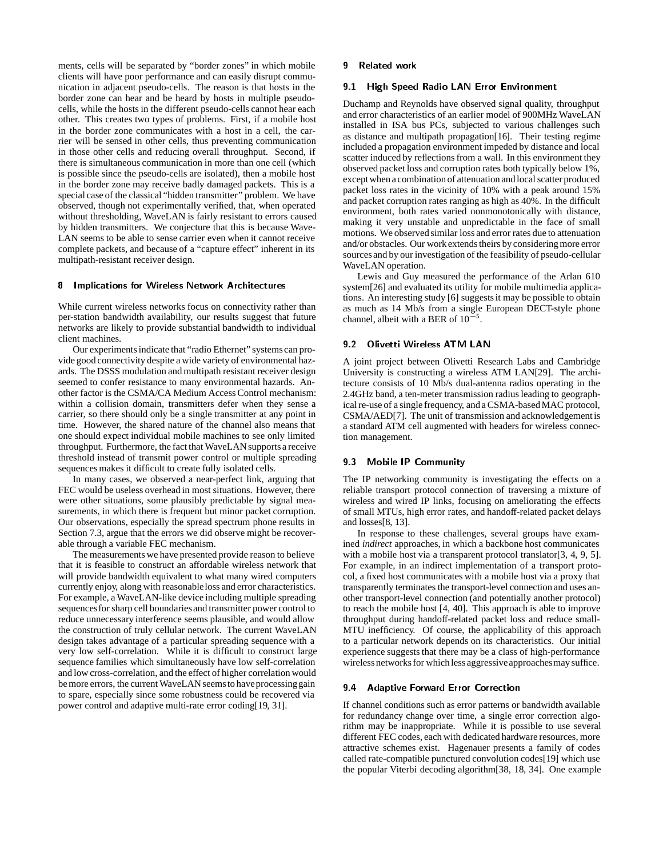ments, cells will be separated by "border zones" in which mobile clients will have poor performance and can easily disrupt communication in adjacent pseudo-cells. The reason is that hosts in the border zone can hear and be heard by hosts in multiple pseudocells, while the hosts in the different pseudo-cells cannot hear each other. This creates two types of problems. First, if a mobile host in the border zone communicates with a host in a cell, the carrier will be sensed in other cells, thus preventing communication in those other cells and reducing overall throughput. Second, if there is simultaneous communication in more than one cell (which is possible since the pseudo-cells are isolated), then a mobile host in the border zone may receive badly damaged packets. This is a special case of the classical "hidden transmitter" problem. We have observed, though not experimentally verified, that, when operated without thresholding, WaveLAN is fairly resistant to errors caused by hidden transmitters. We conjecture that this is because Wave-LAN seems to be able to sense carrier even when it cannot receive complete packets, and because of a "capture effect" inherent in its multipath-resistant receiver design.

### Implications for Wireless Network Architectures 8

While current wireless networks focus on connectivity rather than per-station bandwidth availability, our results suggest that future networks are likely to provide substantial bandwidth to individual client machines.

Our experiments indicate that "radio Ethernet" systems can provide good connectivity despite a wide variety of environmental hazards. The DSSS modulation and multipath resistant receiver design seemed to confer resistance to many environmental hazards. Another factor is the CSMA/CA Medium Access Control mechanism: within a collision domain, transmitters defer when they sense a carrier, so there should only be a single transmitter at any point in time. However, the shared nature of the channel also means that one should expect individual mobile machines to see only limited throughput. Furthermore, the fact that WaveLAN supports a receive threshold instead of transmit power control or multiple spreading sequences makes it difficult to create fully isolated cells.

In many cases, we observed a near-perfect link, arguing that FEC would be useless overhead in most situations. However, there were other situations, some plausibly predictable by signal measurements, in which there is frequent but minor packet corruption. Our observations, especially the spread spectrum phone results in Section 7.3, argue that the errors we did observe might be recoverable through a variable FEC mechanism.

The measurements we have presented provide reason to believe that it is feasible to construct an affordable wireless network that will provide bandwidth equivalent to what many wired computers currently enjoy, along with reasonableloss and error characteristics. For example, a WaveLAN-like device including multiple spreading sequencesfor sharp cell boundariesand transmitter power control to reduce unnecessary interference seems plausible, and would allow the construction of truly cellular network. The current WaveLAN design takes advantage of a particular spreading sequence with a very low self-correlation. While it is difficult to construct large sequence families which simultaneously have low self-correlation and low cross-correlation, and the effect of higher correlation would be more errors, the current WaveLAN seems to have processing gain to spare, especially since some robustness could be recovered via power control and adaptive multi-rate error coding[19, 31].

### 9 Related work

### 9.1 High Speed Radio LAN Error Environment

Duchamp and Reynolds have observed signal quality, throughput and error characteristics of an earlier model of 900MHz WaveLAN installed in ISA bus PCs, subjected to various challenges such as distance and multipath propagation[16]. Their testing regime included a propagation environment impeded by distance and local scatter induced by reflections from a wall. In this environment they observed packet loss and corruption rates both typically below 1%, except when a combination of attenuation and local scatter produced packet loss rates in the vicinity of 10% with a peak around 15% and packet corruption rates ranging as high as 40%. In the difficult environment, both rates varied nonmonotonically with distance, making it very unstable and unpredictable in the face of small motions. We observed similar loss and error rates due to attenuation and/or obstacles. Our work extends theirs by considering more error sources and by our investigation of the feasibility of pseudo-cellular WaveLAN operation.

Lewis and Guy measured the performance of the Arlan 610 system[26] and evaluated its utility for mobile multimedia applications. An interesting study [6] suggests it may be possible to obtain as much as 14 Mb/s from a single European DECT-style phone channel, albeit with a BER of  $10^{-5}$ .

A joint project between Olivetti Research Labs and Cambridge University is constructing a wireless ATM LAN[29]. The architecture consists of 10 Mb/s dual-antenna radios operating in the 2.4GHz band, a ten-meter transmission radius leading to geographical re-use of a single frequency, and a CSMA-based MAC protocol, CSMA/AED[7]. The unit of transmission and acknowledgement is a standard ATM cell augmented with headers for wireless connection management.

### 9.3 Mobile IP Community

The IP networking community is investigating the effects on a reliable transport protocol connection of traversing a mixture of wireless and wired IP links, focusing on ameliorating the effects of small MTUs, high error rates, and handoff-related packet delays and losses[8, 13].

In response to these challenges, several groups have examined *indirect* approaches, in which a backbone host communicates with a mobile host via a transparent protocol translator[3, 4, 9, 5]. For example, in an indirect implementation of a transport protocol, a fixed host communicates with a mobile host via a proxy that transparently terminates the transport-level connection and uses another transport-level connection (and potentially another protocol) to reach the mobile host [4, 40]. This approach is able to improve throughput during handoff-related packet loss and reduce small-MTU inefficiency. Of course, the applicability of this approach to a particular network depends on its characteristics. Our initial experience suggests that there may be a class of high-performance wireless networks for which less aggressiveapproachesmay suffice.

### 94 Adaptive Forward Error Correction

If channel conditions such as error patterns or bandwidth available for redundancy change over time, a single error correction algorithm may be inappropriate. While it is possible to use several different FEC codes, each with dedicated hardware resources, more attractive schemes exist. Hagenauer presents a family of codes called rate-compatible punctured convolution codes[19] which use the popular Viterbi decoding algorithm[38, 18, 34]. One example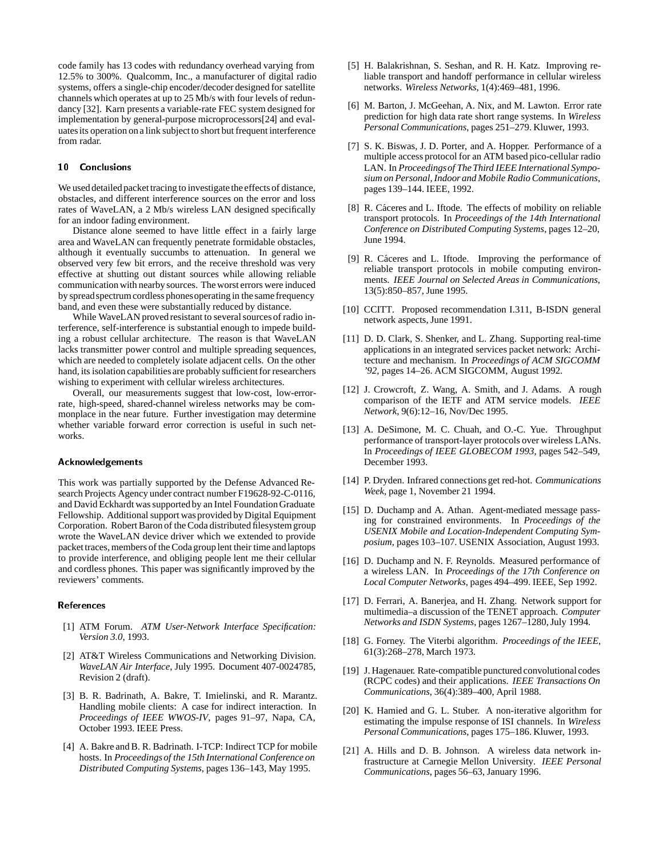code family has 13 codes with redundancy overhead varying from 12.5% to 300%. Qualcomm, Inc., a manufacturer of digital radio systems, offers a single-chip encoder/decoder designed for satellite channels which operates at up to 25 Mb/s with four levels of redundancy [32]. Karn presents a variable-rate FEC system designed for implementation by general-purpose microprocessors[24] and evaluates its operation on a link subject to short but frequent interference from radar.

We used detailed packet tracing to investigate the effects of distance, obstacles, and different interference sources on the error and loss rates of WaveLAN, a 2 Mb/s wireless LAN designed specifically for an indoor fading environment.

Distance alone seemed to have little effect in a fairly large area and WaveLAN can frequently penetrate formidable obstacles, although it eventually succumbs to attenuation. In general we observed very few bit errors, and the receive threshold was very effective at shutting out distant sources while allowing reliable communication with nearby sources. The worst errors were induced by spread spectrum cordless phones operating in the same frequency band, and even these were substantially reduced by distance.

While WaveLAN proved resistant to several sources of radio interference, self-interference is substantial enough to impede building a robust cellular architecture. The reason is that WaveLAN lacks transmitter power control and multiple spreading sequences, which are needed to completely isolate adjacent cells. On the other hand, its isolation capabilities are probably sufficient for researchers wishing to experiment with cellular wireless architectures.

Overall, our measurements suggest that low-cost, low-errorrate, high-speed, shared-channel wireless networks may be commonplace in the near future. Further investigation may determine whether variable forward error correction is useful in such networks.

### Acknowledgements

This work was partially supported by the Defense Advanced Research Projects Agency under contract number F19628-92-C-0116, and David Eckhardt was supported by an Intel Foundation Graduate Fellowship. Additional support was provided by Digital Equipment Corporation. Robert Baron of the Coda distributed filesystem group wrote the WaveLAN device driver which we extended to provide packet traces, members of the Coda group lent their time and laptops to provide interference, and obliging people lent me their cellular and cordless phones. This paper was significantly improved by the reviewers' comments.

### References

- [1] ATM Forum. *ATM User-Network Interface Specification: Version 3.0*, 1993.
- [2] AT&T Wireless Communications and Networking Division. *WaveLAN Air Interface*, July 1995. Document 407-0024785, Revision 2 (draft).
- [3] B. R. Badrinath, A. Bakre, T. Imielinski, and R. Marantz. Handling mobile clients: A case for indirect interaction. In *Proceedings of IEEE WWOS-IV*, pages 91–97, Napa, CA, October 1993. IEEE Press.
- [4] A. Bakre and B. R. Badrinath. I-TCP: Indirect TCP for mobile hosts. In *Proceedings of the 15th International Conference on Distributed Computing Systems*, pages 136–143, May 1995.
- [5] H. Balakrishnan, S. Seshan, and R. H. Katz. Improving reliable transport and handoff performance in cellular wireless networks. *Wireless Networks*, 1(4):469–481, 1996.
- [6] M. Barton, J. McGeehan, A. Nix, and M. Lawton. Error rate prediction for high data rate short range systems. In *Wireless Personal Communications*, pages 251–279. Kluwer, 1993.
- [7] S. K. Biswas, J. D. Porter, and A. Hopper. Performance of a multiple access protocol for an ATM based pico-cellular radio LAN. In *Proceedingsof The Third IEEE International Symposium on Personal, Indoor and Mobile Radio Communications*, pages 139–144. IEEE, 1992.
- [8] R. Cáceres and L. Iftode. The effects of mobility on reliable transport protocols. In *Proceedings of the 14th International Conference on Distributed Computing Systems*, pages 12–20, June 1994.
- [9] R. Cáceres and L. Iftode. Improving the performance of reliable transport protocols in mobile computing environments. *IEEE Journal on Selected Areas in Communications*, 13(5):850–857, June 1995.
- [10] CCITT. Proposed recommendation I.311, B-ISDN general network aspects, June 1991.
- [11] D. D. Clark, S. Shenker, and L. Zhang. Supporting real-time applications in an integrated services packet network: Architecture and mechanism. In *Proceedings of ACM SIGCOMM '92*, pages 14–26. ACM SIGCOMM, August 1992.
- [12] J. Crowcroft, Z. Wang, A. Smith, and J. Adams. A rough comparison of the IETF and ATM service models. *IEEE Network*, 9(6):12–16, Nov/Dec 1995.
- [13] A. DeSimone, M. C. Chuah, and O.-C. Yue. Throughput performance of transport-layer protocols over wireless LANs. In *Proceedings of IEEE GLOBECOM 1993*, pages 542–549, December 1993.
- [14] P. Dryden. Infrared connections get red-hot. *Communications Week*, page 1, November 21 1994.
- [15] D. Duchamp and A. Athan. Agent-mediated message passing for constrained environments. In *Proceedings of the USENIX Mobile and Location-Independent Computing Symposium*, pages 103–107. USENIX Association, August 1993.
- [16] D. Duchamp and N. F. Reynolds. Measured performance of a wireless LAN. In *Proceedings of the 17th Conference on Local Computer Networks*, pages 494–499. IEEE, Sep 1992.
- [17] D. Ferrari, A. Banerjea, and H. Zhang. Network support for multimedia–a discussion of the TENET approach. *Computer Networks and ISDN Systems*, pages 1267–1280, July 1994.
- [18] G. Forney. The Viterbi algorithm. *Proceedings of the IEEE*, 61(3):268–278, March 1973.
- [19] J. Hagenauer. Rate-compatible punctured convolutional codes (RCPC codes) and their applications. *IEEE Transactions On Communications*, 36(4):389–400, April 1988.
- [20] K. Hamied and G. L. Stuber. A non-iterative algorithm for estimating the impulse response of ISI channels. In *Wireless Personal Communications*, pages 175–186. Kluwer, 1993.
- [21] A. Hills and D. B. Johnson. A wireless data network infrastructure at Carnegie Mellon University. *IEEE Personal Communications*, pages 56–63, January 1996.